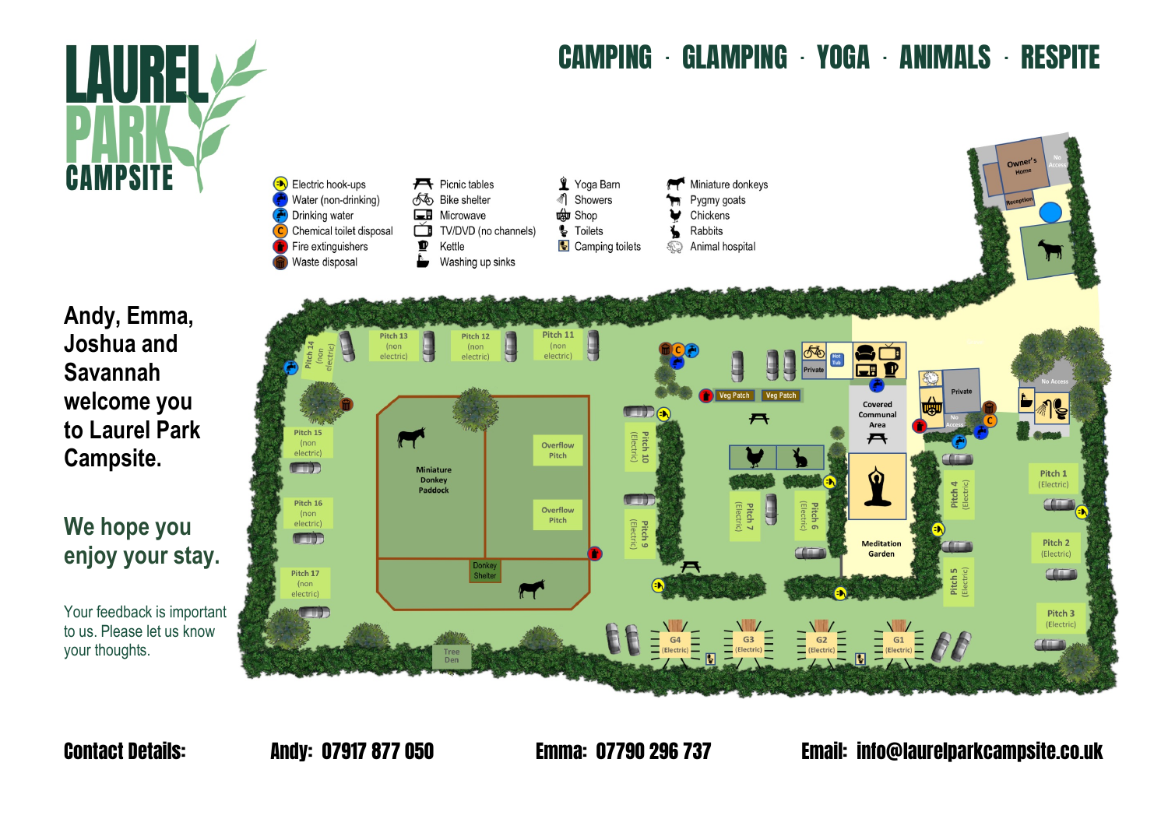

#### CAMPING · GLAMPING · YOGA · ANIMALS · RESPITE



**Andy, Emma, Joshua and Savannah welcome you to Laurel Park Campsite.** 

## **We hope you enjoy your stay.**

Your feedback is important to us. Please let us know your thoughts.

Contact Details: Andy: 07917 877 050 Emma: 07790 296 737 Email: info@laurelparkcampsite.co.uk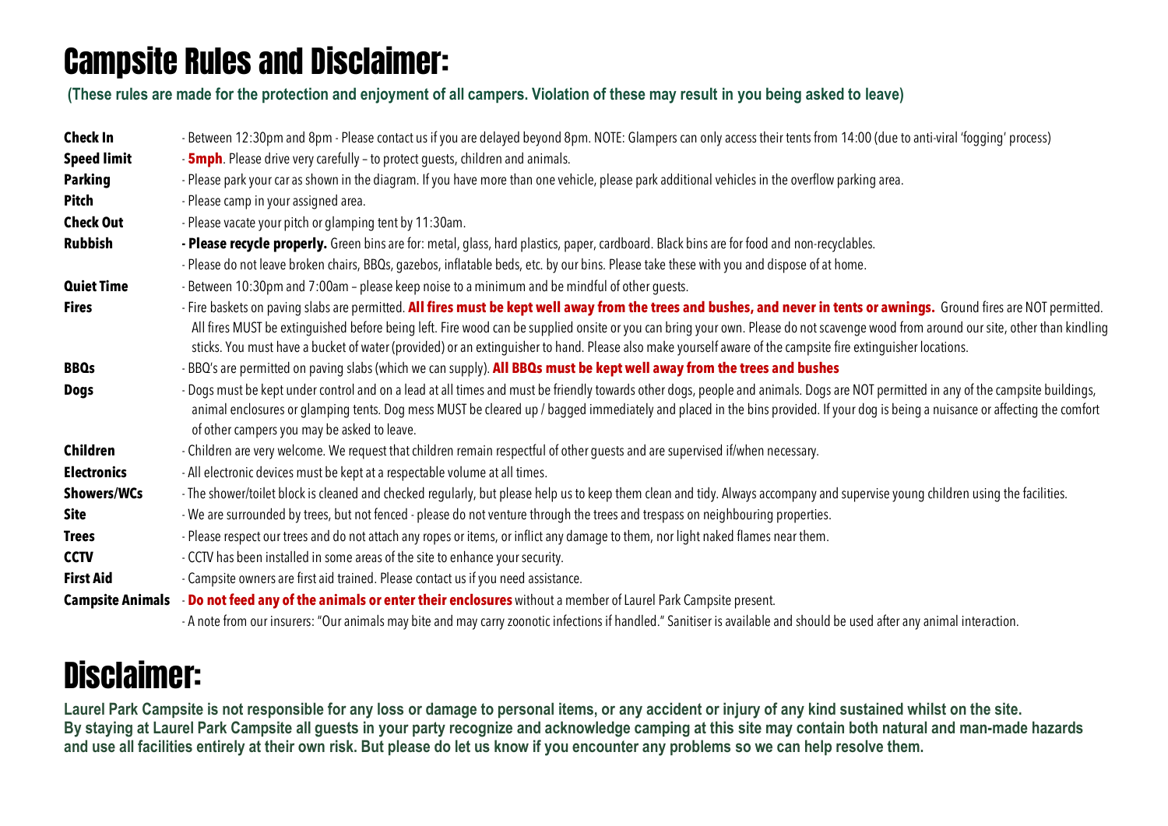## Campsite Rules and Disclaimer:

**(These rules are made for the protection and enjoyment of all campers. Violation of these may result in you being asked to leave)**

| <b>Check In</b>         | - Between 12:30pm and 8pm - Please contact us if you are delayed beyond 8pm. NOTE: Glampers can only access their tents from 14:00 (due to anti-viral 'fogging' process)                                                                                                                                                                                                                                                                                                                                                       |
|-------------------------|--------------------------------------------------------------------------------------------------------------------------------------------------------------------------------------------------------------------------------------------------------------------------------------------------------------------------------------------------------------------------------------------------------------------------------------------------------------------------------------------------------------------------------|
| <b>Speed limit</b>      | - <b>5mph</b> . Please drive very carefully - to protect guests, children and animals.                                                                                                                                                                                                                                                                                                                                                                                                                                         |
| <b>Parking</b>          | - Please park your car as shown in the diagram. If you have more than one vehicle, please park additional vehicles in the overflow parking area.                                                                                                                                                                                                                                                                                                                                                                               |
| Pitch                   | - Please camp in your assigned area.                                                                                                                                                                                                                                                                                                                                                                                                                                                                                           |
| <b>Check Out</b>        | - Please vacate your pitch or glamping tent by 11:30am.                                                                                                                                                                                                                                                                                                                                                                                                                                                                        |
| <b>Rubbish</b>          | - Please recycle properly. Green bins are for: metal, glass, hard plastics, paper, cardboard. Black bins are for food and non-recyclables.                                                                                                                                                                                                                                                                                                                                                                                     |
|                         | - Please do not leave broken chairs, BBQs, gazebos, inflatable beds, etc. by our bins. Please take these with you and dispose of at home.                                                                                                                                                                                                                                                                                                                                                                                      |
| <b>Quiet Time</b>       | - Between 10:30pm and 7:00am - please keep noise to a minimum and be mindful of other guests.                                                                                                                                                                                                                                                                                                                                                                                                                                  |
| <b>Fires</b>            | - Fire baskets on paving slabs are permitted. All fires must be kept well away from the trees and bushes, and never in tents or awnings. Ground fires are NOT permitted.<br>All fires MUST be extinguished before being left. Fire wood can be supplied onsite or you can bring your own. Please do not scavenge wood from around our site, other than kindling<br>sticks. You must have a bucket of water (provided) or an extinguisher to hand. Please also make yourself aware of the campsite fire extinguisher locations. |
| <b>BBQs</b>             | - BBQ's are permitted on paving slabs (which we can supply). All BBQs must be kept well away from the trees and bushes                                                                                                                                                                                                                                                                                                                                                                                                         |
| <b>Dogs</b>             | - Dogs must be kept under control and on a lead at all times and must be friendly towards other dogs, people and animals. Dogs are NOT permitted in any of the campsite buildings,<br>animal enclosures or glamping tents. Dog mess MUST be cleared up / bagged immediately and placed in the bins provided. If your dog is being a nuisance or affecting the comfort<br>of other campers you may be asked to leave.                                                                                                           |
| Children                | - Children are very welcome. We request that children remain respectful of other guests and are supervised if/when necessary.                                                                                                                                                                                                                                                                                                                                                                                                  |
| <b>Electronics</b>      | - All electronic devices must be kept at a respectable volume at all times.                                                                                                                                                                                                                                                                                                                                                                                                                                                    |
| <b>Showers/WCs</b>      | - The shower/toilet block is cleaned and checked regularly, but please help us to keep them clean and tidy. Always accompany and supervise young children using the facilities.                                                                                                                                                                                                                                                                                                                                                |
| <b>Site</b>             | - We are surrounded by trees, but not fenced - please do not venture through the trees and trespass on neighbouring properties.                                                                                                                                                                                                                                                                                                                                                                                                |
| <b>Trees</b>            | - Please respect our trees and do not attach any ropes or items, or inflict any damage to them, nor light naked flames near them.                                                                                                                                                                                                                                                                                                                                                                                              |
| <b>CCTV</b>             | - CCTV has been installed in some areas of the site to enhance your security.                                                                                                                                                                                                                                                                                                                                                                                                                                                  |
| <b>First Aid</b>        | - Campsite owners are first aid trained. Please contact us if you need assistance.                                                                                                                                                                                                                                                                                                                                                                                                                                             |
| <b>Campsite Animals</b> | - Do not feed any of the animals or enter their enclosures without a member of Laurel Park Campsite present.                                                                                                                                                                                                                                                                                                                                                                                                                   |
|                         | A car form control or MA control conclusion and control of controlled Headth and control designed designed to the control through                                                                                                                                                                                                                                                                                                                                                                                              |

### - A note from our insurers: "Our animals may bite and may carry zoonotic infections if handled." Sanitiser is available and should be used after any animal interaction.

## Disclaimer:

**Laurel Park Campsite is not responsible for any loss or damage to personal items, or any accident or injury of any kind sustained whilst on the site. By staying at Laurel Park Campsite all guests in your party recognize and acknowledge camping at this site may contain both natural and man-made hazards and use all facilities entirely at their own risk. But please do let us know if you encounter any problems so we can help resolve them.**